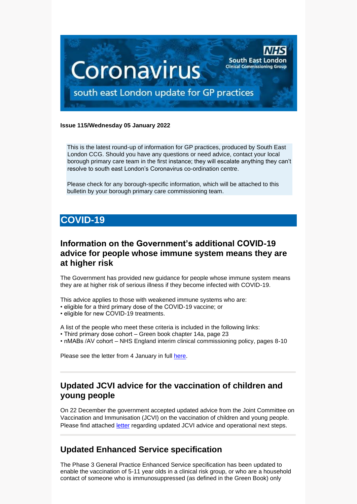

#### **Issue 115/Wednesday 05 January 2022**

This is the latest round-up of information for GP practices, produced by South East London CCG. Should you have any questions or need advice, contact your local borough primary care team in the first instance; they will escalate anything they can't resolve to south east London's Coronavirus co-ordination centre.

Please check for any borough-specific information, which will be attached to this bulletin by your borough primary care commissioning team.

# **COVID-19**

#### **Information on the Government's additional COVID-19 advice for people whose immune system means they are at higher risk**

The Government has provided new guidance for people whose immune system means they are at higher risk of serious illness if they become infected with COVID-19.

This advice applies to those with weakened immune systems who are:

- eligible for a third primary dose of the COVID-19 vaccine; or
- eligible for new COVID-19 treatments.

A list of the people who meet these criteria is included in the following links:

- Third primary dose cohort Green book chapter 14a, page 23
- nMABs /AV cohort NHS England interim clinical commissioning policy, pages 8-10

Please see the letter from 4 January in full [here.](https://selondonccg.nhs.uk/wp-content/uploads/2022/01/C1511_Information-on-the-Governments-additional-COVID-19-advice-for-people-whose-immune-system-means-they-are-at-higher-risk_040122.pdf)

#### **Updated JCVI advice for the vaccination of children and young people**

On 22 December the government accepted updated advice from the Joint Committee on Vaccination and Immunisation (JCVI) on the vaccination of children and young people. Please find attached [letter](https://selondonccg.nhs.uk/wp-content/uploads/2021/12/C1524-Updated-JCVI-advice-for-the-vaccination-of-children-and-young-people.pdf) regarding updated JCVI advice and operational next steps.

#### **Updated Enhanced Service specification**

The Phase 3 General Practice Enhanced Service specification has been updated to enable the vaccination of 5-11 year olds in a clinical risk group, or who are a household contact of someone who is immunosuppressed (as defined in the Green Book) only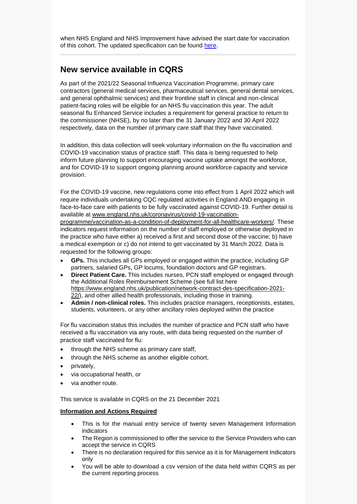when NHS England and NHS Improvement have advised the start date for vaccination of this cohort. The updated specification can be found [here.](https://www.england.nhs.uk/coronavirus/publication/enhanced-service-specification-phase-3-coronavirus-vaccination/)

#### **New service available in CQRS**

As part of the 2021/22 Seasonal Influenza Vaccination Programme, primary care contractors (general medical services, pharmaceutical services, general dental services, and general ophthalmic services) and their frontline staff in clinical and non-clinical patient-facing roles will be eligible for an NHS flu vaccination this year. The adult seasonal flu Enhanced Service includes a requirement for general practice to return to the commissioner (NHSE), by no later than the 31 January 2022 and 30 April 2022 respectively, data on the number of primary care staff that they have vaccinated.

In addition, this data collection will seek voluntary information on the flu vaccination and COVID-19 vaccination status of practice staff. This data is being requested to help inform future planning to support encouraging vaccine uptake amongst the workforce, and for COVID-19 to support ongoing planning around workforce capacity and service provision.

For the COVID-19 vaccine, new regulations come into effect from 1 April 2022 which will require individuals undertaking CQC regulated activities in England AND engaging in face-to-face care with patients to be fully vaccinated against COVID-19. Further detail is available at [www.england.nhs.uk/coronavirus/covid-19-vaccination-](https://www.england.nhs.uk/coronavirus/covid-19-vaccination-programme/vaccination-as-a-condition-of-deployment-for-all-healthcare-workers/)

[programme/vaccination-as-a-condition-of-deployment-for-all-healthcare-workers/.](https://www.england.nhs.uk/coronavirus/covid-19-vaccination-programme/vaccination-as-a-condition-of-deployment-for-all-healthcare-workers/) These indicators request information on the number of staff employed or otherwise deployed in the practice who have either a) received a first and second dose of the vaccine; b) have a medical exemption or c) do not intend to get vaccinated by 31 March 2022. Data is requested for the following groups:

- **GPs.** This includes all GPs employed or engaged within the practice, including GP partners, salaried GPs, GP locums, foundation doctors and GP registrars.
- **Direct Patient Care.** This includes nurses, PCN staff employed or engaged through the Additional Roles Reimbursement Scheme (see full list here [https://www.england.nhs.uk/publication/network-contract-des-specification-2021-](https://www.england.nhs.uk/publication/network-contract-des-specification-2021-22/) [22/\)](https://www.england.nhs.uk/publication/network-contract-des-specification-2021-22/), and other allied health professionals, including those in training.
- **Admin / non-clinical roles.** This includes practice managers, receptionists, estates, students, volunteers, or any other ancillary roles deployed within the practice

For flu vaccination status this includes the number of practice and PCN staff who have received a flu vaccination via any route, with data being requested on the number of practice staff vaccinated for flu:

- through the NHS scheme as primary care staff,
- through the NHS scheme as another eligible cohort,
- privately,
- via occupational health, or
- via another route.

This service is available in CQRS on the 21 December 2021

#### **Information and Actions Required**

- This is for the manual entry service of twenty seven Management Information indicators
- The Region is commissioned to offer the service to the Service Providers who can accept the service in CQRS
- There is no declaration required for this service as it is for Management Indicators only
- You will be able to download a csv version of the data held within CQRS as per the current reporting process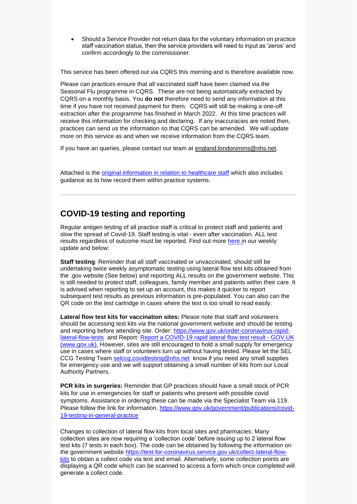• Should a Service Provider not return data for the voluntary information on practice staff vaccination status, then the service providers will need to input as 'zeros' and confirm accordingly to the commissioner.

This service has been offered out via CQRS this morning and is therefore available now.

Please can practices ensure that all vaccinated staff have been claimed via the Seasonal Flu programme in CQRS. These are not being automatically extracted by CQRS on a monthly basis. You **do not** therefore need to send any information at this time if you have not received payment for them. CQRS will still be making a one-off extraction after the programme has finished in March 2022. At this time practices will receive this information for checking and declaring. If any inaccuracies are noted then, practices can send us the information so that CQRS can be amended. We will update more on this service as and when we receive information from the CQRS team.

If you have an queries, please contact our team at [england.londonimms@nhs.net.](mailto:england.londonimms@nhs.net)

Attached is the [original information in relation to healthcare staff](https://selondonccg.nhs.uk/wp-content/uploads/2022/01/018_01-Influenza-guidance-for-the-recording-of-unregistered-patients-vaccination-events-v2.0-FINAL-1.pdf) which also includes guidance as to how record them within practice systems.

#### **COVID-19 testing and reporting**

Regular antigen testing of all practice staff is critical to protect staff and patients and slow the spread of Covid-19. Staff testing is vital - even after vaccination. ALL test results regardless of outcome must be reported. Find out more [here](https://selondonccg.nhs.uk/wp-content/uploads/2021/12/Key-messages-for-GP-weekly-bulletin-17-December-2021.pdf) in our weekly update and below:

**Staff testing**: Reminder that all staff vaccinated or unvaccinated, should still be undertaking twice weekly asymptomatic testing using lateral flow test kits obtained from the .gov website (See below) and reporting ALL results on the government website. This is still needed to protect staff, colleagues, family member and patients within their care. It is advised when reporting to set up an account, this makes it quicker to report subsequent test results as previous information is pre-populated. You can also can the QR code on the test cartridge in cases where the text is too small to read easily.

**Lateral flow test kits for vaccination sites:** Please note that staff and volunteers should be accessing test kits via the national government website and should be testing and reporting before attending site. Order: [https://www.gov.uk/order-coronavirus-rapid](https://www.gov.uk/order-coronavirus-rapid-lateral-flow-tests)[lateral-flow-tests](https://www.gov.uk/order-coronavirus-rapid-lateral-flow-tests) and Report: [Report a COVID-19 rapid lateral flow test result -](https://www.gov.uk/report-covid19-result) GOV.UK [\(www.gov.uk\).](https://www.gov.uk/report-covid19-result) However, sites are still encouraged to hold a small supply for emergency use in cases where staff or volunteers turn up without having tested. Please let the SEL CCG Testing Team [selccg.covidtesting@nhs.net](mailto:selccg.covidtesting@nhs.net) know if you need any small supplies for emergency use and we will support obtaining a small number of kits from our Local Authority Partners.

**PCR kits in surgeries:** Reminder that GP practices should have a small stock of PCR kits for use in emergencies for staff or patients who present with possible covid symptoms. Assistance in ordering these can be made via the Specialist Team via 119. Please follow the link for information. [https://www.gov.uk/government/publications/covid-](https://www.gov.uk/government/publications/covid-19-testing-in-general-practice)[19-testing-in-general-practice](https://www.gov.uk/government/publications/covid-19-testing-in-general-practice)

Changes to collection of lateral flow kits from local sites and pharmacies: Many collection sites are now requiring a 'collection code' before issuing up to 2 lateral flow test kits (7 tests in each box). The code can be obtained by following the information on the government website [https://test-for-coronavirus.service.gov.uk/collect-lateral-flow](https://test-for-coronavirus.service.gov.uk/collect-lateral-flow-kits)[kits](https://test-for-coronavirus.service.gov.uk/collect-lateral-flow-kits) to obtain a collect code via text and email. Alternatively, some collection points are displaying a QR code which can be scanned to access a form which once completed will generate a collect code.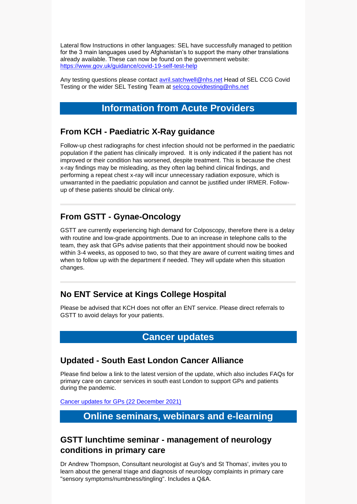Lateral flow Instructions in other languages: SEL have successfully managed to petition for the 3 main languages used by Afghanistan's to support the many other translations already available. These can now be found on the government website: <https://www.gov.uk/guidance/covid-19-self-test-help>

Any testing questions please contact [avril.satchwell@nhs.net](mailto:avril.satchwell@nhs.net) Head of SEL CCG Covid Testing or the wider SEL Testing Team at [selccg.covidtesting@nhs.net](mailto:selccg.covidtesting@nhs.net)

### **Information from Acute Providers**

#### **From KCH - Paediatric X-Ray guidance**

Follow-up chest radiographs for chest infection should not be performed in the paediatric population if the patient has clinically improved. It is only indicated if the patient has not improved or their condition has worsened, despite treatment. This is because the chest x-ray findings may be misleading, as they often lag behind clinical findings, and performing a repeat chest x-ray will incur unnecessary radiation exposure, which is unwarranted in the paediatric population and cannot be justified under IRMER. Followup of these patients should be clinical only.

# **From GSTT - Gynae-Oncology**

GSTT are currently experiencing high demand for Colposcopy, therefore there is a delay with routine and low-grade appointments. Due to an increase in telephone calls to the team, they ask that GPs advise patients that their appointment should now be booked within 3-4 weeks, as opposed to two, so that they are aware of current waiting times and when to follow up with the department if needed. They will update when this situation changes.

# **No ENT Service at Kings College Hospital**

Please be advised that KCH does not offer an ENT service. Please direct referrals to GSTT to avoid delays for your patients.

#### **Cancer updates**

#### **Updated - South East London Cancer Alliance**

Please find below a link to the latest version of the update, which also includes FAQs for primary care on cancer services in south east London to support GPs and patients during the pandemic.

[Cancer updates for GPs \(22](https://selondonccg.nhs.uk/wp-content/uploads/2021/12/SEL-Cancer-Updates-FAQs-for-Primary-Care-22-Dec-2021-Copy.pdf) December 2021)

# **Online seminars, webinars and e-learning**

# **GSTT lunchtime seminar - management of neurology conditions in primary care**

Dr Andrew Thompson, Consultant neurologist at Guy's and St Thomas', invites you to learn about the general triage and diagnosis of neurology complaints in primary care "sensory symptoms/numbness/tingling". Includes a Q&A.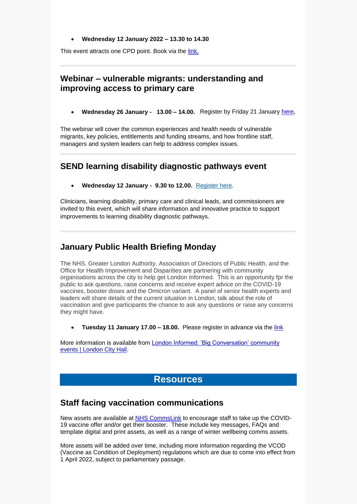#### • **Wednesday 12 January 2022 – 13.30 to 14.30**

This event attracts one CPD point. Book via the [link.](https://www.eventbrite.co.uk/e/free-lunchtime-seminar-management-of-neurology-conditions-in-primary-care-tickets-217013632617)

#### **Webinar – vulnerable migrants: understanding and improving access to primary care**

• **Wednesday 26 January - 13.00 – 14.00.** Register by Friday 21 January [here](https://www.events.england.nhs.uk/events/vulnerable-migrants-and-access-to-primary-care)**.**

The webinar will cover the common experiences and health needs of vulnerable migrants, key policies, entitlements and funding streams, and how frontline staff, managers and system leaders can help to address complex issues.

#### **SEND learning disability diagnostic pathways event**

• **Wednesday 12 January - 9.30 to 12.00.** [Register here.](https://healthcareleadersupdate.cmail19.com/t/d-l-ahdljn-ttjhtjudo-a/)

Clinicians, learning disability, primary care and clinical leads, and commissioners are invited to this event, which will share information and innovative practice to support improvements to learning disability diagnostic pathways.

#### **January Public Health Briefing Monday**

The NHS, Greater London Authority, Association of Directors of Public Health, and the Office for Health Improvement and Disparities are partnering with community organisations across the city to help get London Informed. This is an opportunity fpr the public to ask questions, raise concerns and receive expert advice on the COVID-19 vaccines, booster doses and the Omicron variant. A panel of senior health experts and leaders will share details of the current situation in London, talk about the role of vaccination and give participants the chance to ask any questions or raise any concerns they might have.

• **Tuesday 11 January 17.00 – 18.00.** Please register in advance via the [link](https://us06web.zoom.us/webinar/register/WN_neXuomKnTyma2YXsmTpP_w)

More information is available from [London Informed: 'Big Conversation' community](https://www.london.gov.uk/coronavirus/covid-19-vaccine/london-informed-big-conversation-community-events)  [events | London City Hall.](https://www.london.gov.uk/coronavirus/covid-19-vaccine/london-informed-big-conversation-community-events)

#### **Resources**

#### **Staff facing vaccination communications**

New assets are available at NHS [CommsLink](https://future.nhs.uk/CommsLink/view?objectId=32313808) to encourage staff to take up the COVID-19 vaccine offer and/or get their booster. These include key messages, FAQs and template digital and print assets, as well as a range of winter wellbeing comms assets.

More assets will be added over time, including more information regarding the VCOD (Vaccine as Condition of Deployment) regulations which are due to come into effect from 1 April 2022, subject to parliamentary passage.